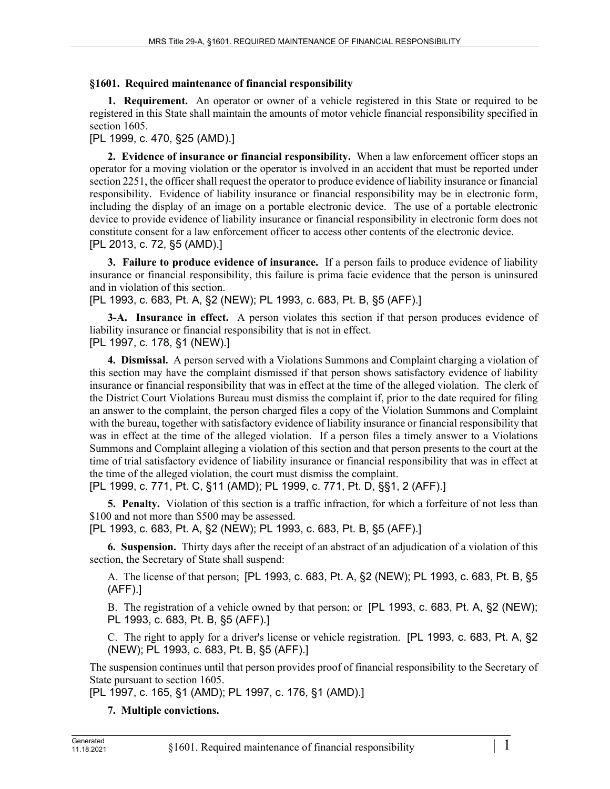## **§1601. Required maintenance of financial responsibility**

**1. Requirement.** An operator or owner of a vehicle registered in this State or required to be registered in this State shall maintain the amounts of motor vehicle financial responsibility specified in section 1605.

[PL 1999, c. 470, §25 (AMD).]

**2. Evidence of insurance or financial responsibility.** When a law enforcement officer stops an operator for a moving violation or the operator is involved in an accident that must be reported under section 2251, the officer shall request the operator to produce evidence of liability insurance or financial responsibility. Evidence of liability insurance or financial responsibility may be in electronic form, including the display of an image on a portable electronic device. The use of a portable electronic device to provide evidence of liability insurance or financial responsibility in electronic form does not constitute consent for a law enforcement officer to access other contents of the electronic device. [PL 2013, c. 72, §5 (AMD).]

**3. Failure to produce evidence of insurance.** If a person fails to produce evidence of liability insurance or financial responsibility, this failure is prima facie evidence that the person is uninsured and in violation of this section.

[PL 1993, c. 683, Pt. A, §2 (NEW); PL 1993, c. 683, Pt. B, §5 (AFF).]

**3-A.** Insurance in effect. A person violates this section if that person produces evidence of liability insurance or financial responsibility that is not in effect.

[PL 1997, c. 178, §1 (NEW).]

**4. Dismissal.** A person served with a Violations Summons and Complaint charging a violation of this section may have the complaint dismissed if that person shows satisfactory evidence of liability insurance or financial responsibility that was in effect at the time of the alleged violation. The clerk of the District Court Violations Bureau must dismiss the complaint if, prior to the date required for filing an answer to the complaint, the person charged files a copy of the Violation Summons and Complaint with the bureau, together with satisfactory evidence of liability insurance or financial responsibility that was in effect at the time of the alleged violation. If a person files a timely answer to a Violations Summons and Complaint alleging a violation of this section and that person presents to the court at the time of trial satisfactory evidence of liability insurance or financial responsibility that was in effect at the time of the alleged violation, the court must dismiss the complaint.

[PL 1999, c. 771, Pt. C, §11 (AMD); PL 1999, c. 771, Pt. D, §§1, 2 (AFF).]

**5. Penalty.** Violation of this section is a traffic infraction, for which a forfeiture of not less than \$100 and not more than \$500 may be assessed.

[PL 1993, c. 683, Pt. A, §2 (NEW); PL 1993, c. 683, Pt. B, §5 (AFF).]

**6. Suspension.** Thirty days after the receipt of an abstract of an adjudication of a violation of this section, the Secretary of State shall suspend:

A. The license of that person; [PL 1993, c. 683, Pt. A, §2 (NEW); PL 1993, c. 683, Pt. B, §5 (AFF).]

B. The registration of a vehicle owned by that person; or [PL 1993, c. 683, Pt. A, §2 (NEW); PL 1993, c. 683, Pt. B, §5 (AFF).]

C. The right to apply for a driver's license or vehicle registration. [PL 1993, c. 683, Pt. A, §2 (NEW); PL 1993, c. 683, Pt. B, §5 (AFF).]

The suspension continues until that person provides proof of financial responsibility to the Secretary of State pursuant to section 1605.

[PL 1997, c. 165, §1 (AMD); PL 1997, c. 176, §1 (AMD).]

## **7. Multiple convictions.**